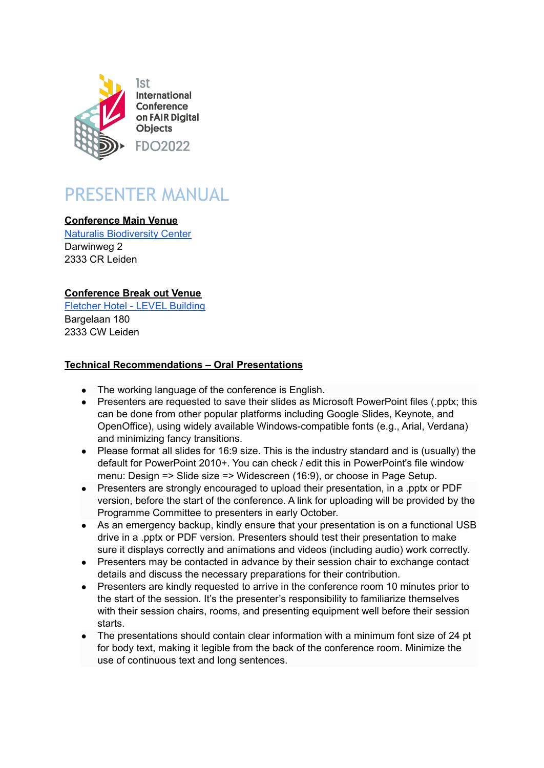

# PRESENTER MANUAL

## **Conference Main Venue**

Naturalis [Biodiversity](https://www.naturalis.nl/en) Center Darwinweg 2 2333 CR Leiden

## **Conference Break out Venue**

[Fletcher](https://www.wellnesshotelleiden.nl/en/business) Hotel - LEVEL Building Bargelaan 180 2333 CW Leiden

## **Technical Recommendations – Oral Presentations**

- The working language of the conference is English.
- Presenters are requested to save their slides as Microsoft PowerPoint files (.pptx; this can be done from other popular platforms including Google Slides, Keynote, and OpenOffice), using widely available Windows-compatible fonts (e.g., Arial, Verdana) and minimizing fancy transitions.
- Please format all slides for 16:9 size. This is the industry standard and is (usually) the default for PowerPoint 2010+. You can check / edit this in PowerPoint's file window menu: Design => Slide size => Widescreen (16:9), or choose in Page Setup.
- Presenters are strongly encouraged to upload their presentation, in a .pptx or PDF version, before the start of the conference. A link for uploading will be provided by the Programme Committee to presenters in early October.
- As an emergency backup, kindly ensure that your presentation is on a functional USB drive in a .pptx or PDF version. Presenters should test their presentation to make sure it displays correctly and animations and videos (including audio) work correctly.
- Presenters may be contacted in advance by their session chair to exchange contact details and discuss the necessary preparations for their contribution.
- Presenters are kindly requested to arrive in the conference room 10 minutes prior to the start of the session. It's the presenter's responsibility to familiarize themselves with their session chairs, rooms, and presenting equipment well before their session starts.
- The presentations should contain clear information with a minimum font size of 24 pt for body text, making it legible from the back of the conference room. Minimize the use of continuous text and long sentences.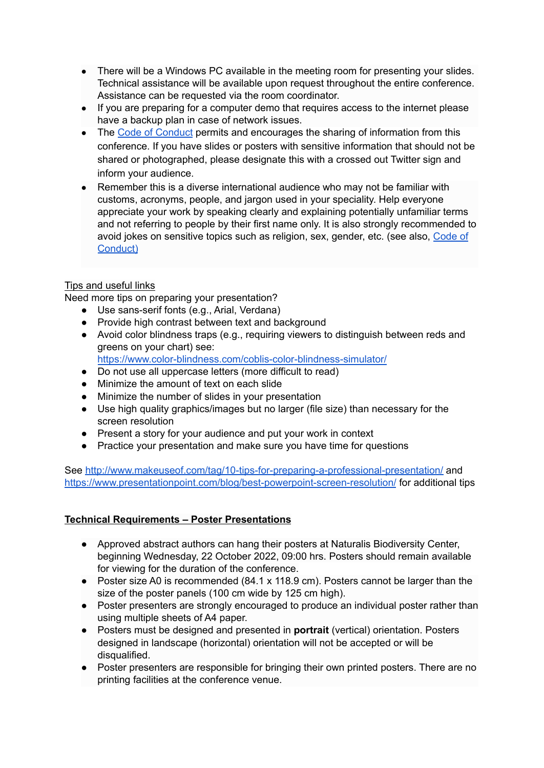- There will be a Windows PC available in the meeting room for presenting your slides. Technical assistance will be available upon request throughout the entire conference. Assistance can be requested via the room coordinator.
- If you are preparing for a computer demo that requires access to the internet please have a backup plan in case of network issues.
- The Code of [Conduct](https://www.fdo2022.org/e2/site/fdo/custom/site/upload/file/code_of_conduct_1st_fdo_conference.pdf) permits and encourages the sharing of information from this conference. If you have slides or posters with sensitive information that should not be shared or photographed, please designate this with a crossed out Twitter sign and inform your audience.
- Remember this is a diverse international audience who may not be familiar with customs, acronyms, people, and jargon used in your speciality. Help everyone appreciate your work by speaking clearly and explaining potentially unfamiliar terms and not referring to people by their first name only. It is also strongly recommended to avoid jokes on sensitive topics such as religion, sex, gender, etc. (see also, [Code](https://www.fdo2022.org/e2/site/fdo/custom/site/upload/file/code_of_conduct_1st_fdo_conference.pdf) of [Conduct\)](https://www.fdo2022.org/e2/site/fdo/custom/site/upload/file/code_of_conduct_1st_fdo_conference.pdf)

## Tips and useful links

Need more tips on preparing your presentation?

- Use sans-serif fonts (e.g., Arial, Verdana)
- Provide high contrast between text and background
- Avoid color blindness traps (e.g., requiring viewers to distinguish between reds and greens on your chart) see:
	- <https://www.color-blindness.com/coblis-color-blindness-simulator/>
- Do not use all uppercase letters (more difficult to read)
- Minimize the amount of text on each slide
- Minimize the number of slides in your presentation
- Use high quality graphics/images but no larger (file size) than necessary for the screen resolution
- Present a story for your audience and put your work in context
- Practice your presentation and make sure you have time for questions

See <http://www.makeuseof.com/tag/10-tips-for-preparing-a-professional-presentation/> and <https://www.presentationpoint.com/blog/best-powerpoint-screen-resolution/> for additional tips

#### **Technical Requirements – Poster Presentations**

- Approved abstract authors can hang their posters at Naturalis Biodiversity Center, beginning Wednesday, 22 October 2022, 09:00 hrs. Posters should remain available for viewing for the duration of the conference.
- Poster size A0 is recommended (84.1 x 118.9 cm). Posters cannot be larger than the size of the poster panels (100 cm wide by 125 cm high).
- Poster presenters are strongly encouraged to produce an individual poster rather than using multiple sheets of A4 paper.
- Posters must be designed and presented in **portrait** (vertical) orientation. Posters designed in landscape (horizontal) orientation will not be accepted or will be disqualified.
- Poster presenters are responsible for bringing their own printed posters. There are no printing facilities at the conference venue.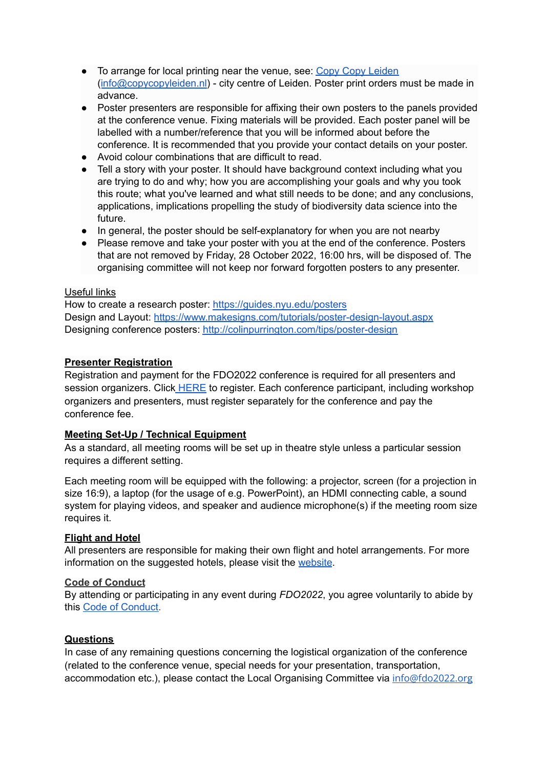- To arrange for local printing near the venue, see: Copy Copy [Leiden](https://www.copycopyleiden.nl/en/) ([info@copycopyleiden.nl\)](mailto:info@copycopyleiden.nl) - city centre of Leiden. Poster print orders must be made in advance.
- Poster presenters are responsible for affixing their own posters to the panels provided at the conference venue. Fixing materials will be provided. Each poster panel will be labelled with a number/reference that you will be informed about before the conference. It is recommended that you provide your contact details on your poster.
- Avoid colour combinations that are difficult to read.
- Tell a story with your poster. It should have background context including what you are trying to do and why; how you are accomplishing your goals and why you took this route; what you've learned and what still needs to be done; and any conclusions, applications, implications propelling the study of biodiversity data science into the future.
- In general, the poster should be self-explanatory for when you are not nearby
- Please remove and take your poster with you at the end of the conference. Posters that are not removed by Friday, 28 October 2022, 16:00 hrs, will be disposed of. The organising committee will not keep nor forward forgotten posters to any presenter.

## Useful links

How to create a research poster: [https://guides.nyu.edu/posters](http://guides.nyu.edu/posters) Design and Layout: <https://www.makesigns.com/tutorials/poster-design-layout.aspx> Designing conference posters: <http://colinpurrington.com/tips/poster-design>

# **Presenter Registration**

Registration and payment for the FDO2022 conference is required for all presenters and session organizers. Click [HERE](https://www.aanmelder.nl/fdo2022/subscribe) to register. Each conference participant, including workshop organizers and presenters, must register separately for the conference and pay the conference fee.

## **Meeting Set-Up / Technical Equipment**

As a standard, all meeting rooms will be set up in theatre style unless a particular session requires a different setting.

Each meeting room will be equipped with the following: a projector, screen (for a projection in size 16:9), a laptop (for the usage of e.g. PowerPoint), an HDMI connecting cable, a sound system for playing videos, and speaker and audience microphone(s) if the meeting room size requires it.

## **Flight and Hotel**

All presenters are responsible for making their own flight and hotel arrangements. For more information on the suggested hotels, please visit the [website](https://www.fdo2022.org/logistical-information/accommodation).

#### **Code of Conduct**

By attending or participating in any event during *FDO2022*, you agree voluntarily to abide by this Code of [Conduct.](https://cdn.aanmelderusercontent.nl/i/doc/d75c55156467c80379420d44688e72ed)

## **Questions**

In case of any remaining questions concerning the logistical organization of the conference (related to the conference venue, special needs for your presentation, transportation, accommodation etc.), please contact the Local Organising Committee via [info@fdo2022.org](mailto:info@fdo2022.org)